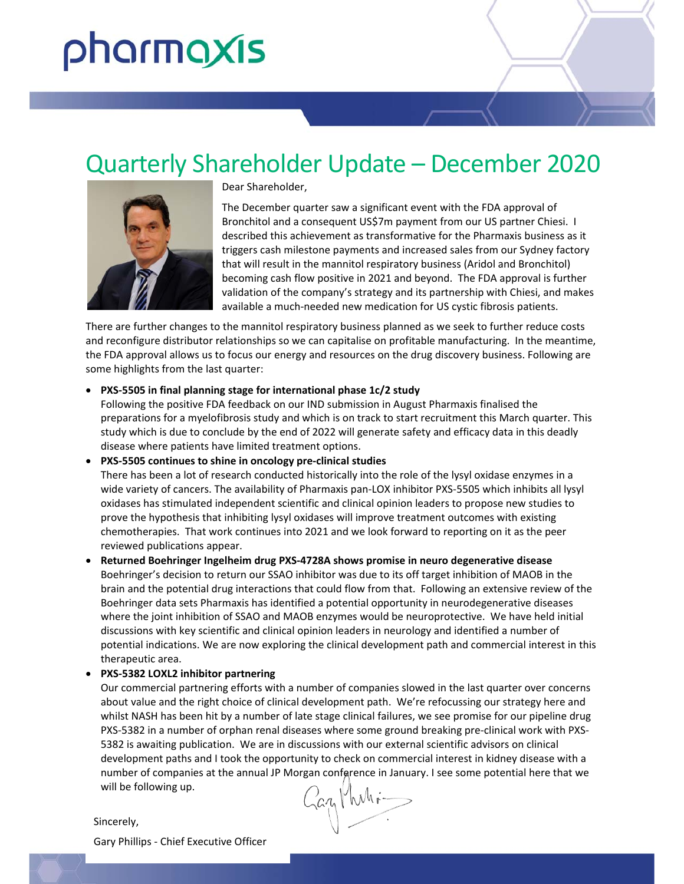# pharmaxis

# Quarterly Shareholder Update – December 2020



Dear Shareholder,

The December quarter saw a significant event with the FDA approval of Bronchitol and a consequent US\$7m payment from our US partner Chiesi. I described this achievement as transformative for the Pharmaxis business as it triggers cash milestone payments and increased sales from our Sydney factory that will result in the mannitol respiratory business (Aridol and Bronchitol) becoming cash flow positive in 2021 and beyond. The FDA approval is further validation of the company's strategy and its partnership with Chiesi, and makes available a much‐needed new medication for US cystic fibrosis patients.

There are further changes to the mannitol respiratory business planned as we seek to further reduce costs and reconfigure distributor relationships so we can capitalise on profitable manufacturing. In the meantime, the FDA approval allows us to focus our energy and resources on the drug discovery business. Following are some highlights from the last quarter:

#### **PXS‐5505 in final planning stage for international phase 1c/2 study**

Following the positive FDA feedback on our IND submission in August Pharmaxis finalised the preparations for a myelofibrosis study and which is on track to start recruitment this March quarter. This study which is due to conclude by the end of 2022 will generate safety and efficacy data in this deadly disease where patients have limited treatment options.

 **PXS‐5505 continues to shine in oncology pre‐clinical studies**  There has been a lot of research conducted historically into the role of the lysyl oxidase enzymes in a wide variety of cancers. The availability of Pharmaxis pan-LOX inhibitor PXS-5505 which inhibits all lysyl oxidases has stimulated independent scientific and clinical opinion leaders to propose new studies to prove the hypothesis that inhibiting lysyl oxidases will improve treatment outcomes with existing chemotherapies. That work continues into 2021 and we look forward to reporting on it as the peer reviewed publications appear.

 **Returned Boehringer Ingelheim drug PXS‐4728A shows promise in neuro degenerative disease**  Boehringer's decision to return our SSAO inhibitor was due to its off target inhibition of MAOB in the brain and the potential drug interactions that could flow from that. Following an extensive review of the Boehringer data sets Pharmaxis has identified a potential opportunity in neurodegenerative diseases where the joint inhibition of SSAO and MAOB enzymes would be neuroprotective. We have held initial discussions with key scientific and clinical opinion leaders in neurology and identified a number of potential indications. We are now exploring the clinical development path and commercial interest in this therapeutic area.

#### **PXS‐5382 LOXL2 inhibitor partnering**

Our commercial partnering efforts with a number of companies slowed in the last quarter over concerns about value and the right choice of clinical development path. We're refocussing our strategy here and whilst NASH has been hit by a number of late stage clinical failures, we see promise for our pipeline drug PXS‐5382 in a number of orphan renal diseases where some ground breaking pre‐clinical work with PXS‐ 5382 is awaiting publication. We are in discussions with our external scientific advisors on clinical development paths and I took the opportunity to check on commercial interest in kidney disease with a number of companies at the annual JP Morgan conference in January. I see some potential here that we<br>will be following up.<br>incerely. will be following up.

Sincerely,

Gary Phillips ‐ Chief Executive Officer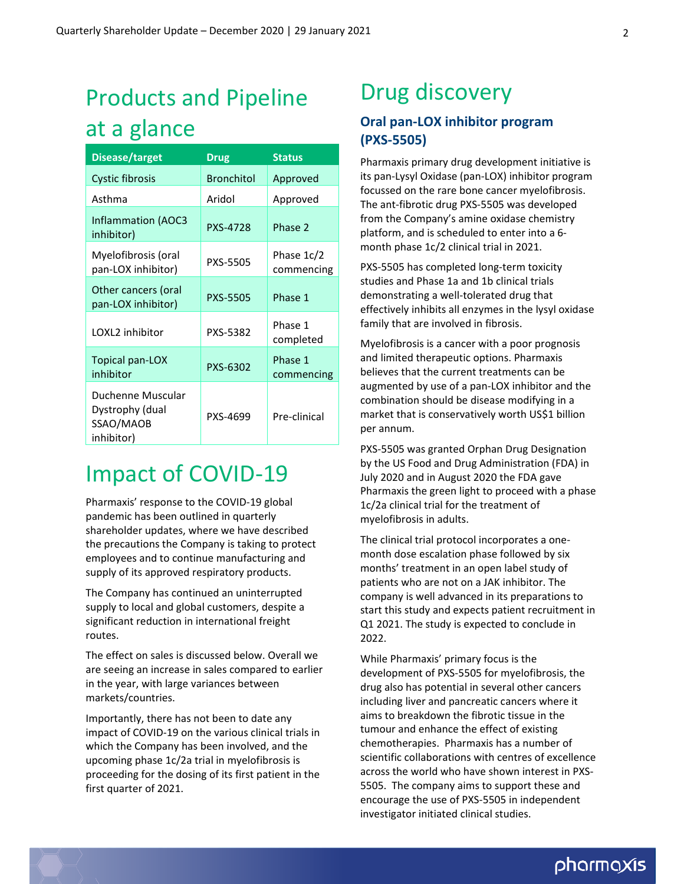# Products and Pipeline at a glance

| <b>Disease/target</b>                                           | <b>Drug</b>       | <b>Status</b>            |
|-----------------------------------------------------------------|-------------------|--------------------------|
| <b>Cystic fibrosis</b>                                          | <b>Bronchitol</b> | Approved                 |
| Asthma                                                          | Aridol            | Approved                 |
| <b>Inflammation (AOC3</b><br>inhibitor)                         | <b>PXS-4728</b>   | Phase 2                  |
| Myelofibrosis (oral<br>pan-LOX inhibitor)                       | PXS-5505          | Phase 1c/2<br>commencing |
| Other cancers (oral<br>pan-LOX inhibitor)                       | <b>PXS-5505</b>   | Phase 1                  |
| LOXL2 inhibitor                                                 | PXS-5382          | Phase 1<br>completed     |
| Topical pan-LOX<br>inhibitor                                    | PXS-6302          | Phase 1<br>commencing    |
| Duchenne Muscular<br>Dystrophy (dual<br>SSAO/MAOB<br>inhibitor) | PXS-4699          | Pre-clinical             |

# Impact of COVID‐19

Pharmaxis' response to the COVID‐19 global pandemic has been outlined in quarterly shareholder updates, where we have described the precautions the Company is taking to protect employees and to continue manufacturing and supply of its approved respiratory products.

The Company has continued an uninterrupted supply to local and global customers, despite a significant reduction in international freight routes.

The effect on sales is discussed below. Overall we are seeing an increase in sales compared to earlier in the year, with large variances between markets/countries.

Importantly, there has not been to date any impact of COVID‐19 on the various clinical trials in which the Company has been involved, and the upcoming phase 1c/2a trial in myelofibrosis is proceeding for the dosing of its first patient in the first quarter of 2021.

# Drug discovery

### **Oral pan‐LOX inhibitor program (PXS‐5505)**

Pharmaxis primary drug development initiative is its pan‐Lysyl Oxidase (pan‐LOX) inhibitor program focussed on the rare bone cancer myelofibrosis. The ant‐fibrotic drug PXS‐5505 was developed from the Company's amine oxidase chemistry platform, and is scheduled to enter into a 6‐ month phase 1c/2 clinical trial in 2021.

PXS‐5505 has completed long‐term toxicity studies and Phase 1a and 1b clinical trials demonstrating a well‐tolerated drug that effectively inhibits all enzymes in the lysyl oxidase family that are involved in fibrosis.

Myelofibrosis is a cancer with a poor prognosis and limited therapeutic options. Pharmaxis believes that the current treatments can be augmented by use of a pan‐LOX inhibitor and the combination should be disease modifying in a market that is conservatively worth US\$1 billion per annum.

PXS‐5505 was granted Orphan Drug Designation by the US Food and Drug Administration (FDA) in July 2020 and in August 2020 the FDA gave Pharmaxis the green light to proceed with a phase 1c/2a clinical trial for the treatment of myelofibrosis in adults.

The clinical trial protocol incorporates a one‐ month dose escalation phase followed by six months' treatment in an open label study of patients who are not on a JAK inhibitor. The company is well advanced in its preparations to start this study and expects patient recruitment in Q1 2021. The study is expected to conclude in 2022.

While Pharmaxis' primary focus is the development of PXS‐5505 for myelofibrosis, the drug also has potential in several other cancers including liver and pancreatic cancers where it aims to breakdown the fibrotic tissue in the tumour and enhance the effect of existing chemotherapies. Pharmaxis has a number of scientific collaborations with centres of excellence across the world who have shown interest in PXS‐ 5505. The company aims to support these and encourage the use of PXS‐5505 in independent investigator initiated clinical studies.

### pharmaxis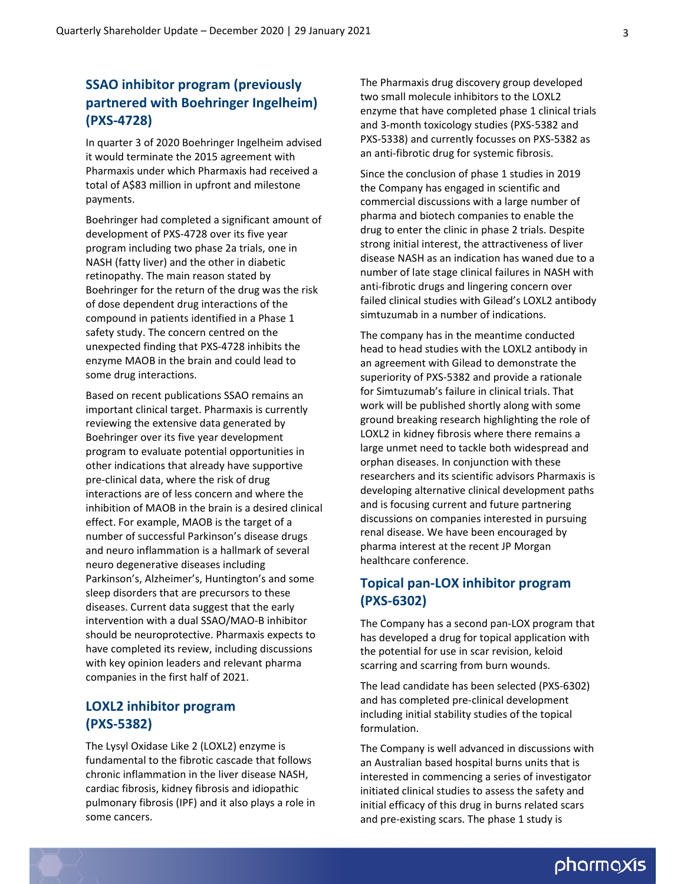### **SSAO inhibitor program (previously partnered with Boehringer Ingelheim) (PXS‐4728)**

In quarter 3 of 2020 Boehringer Ingelheim advised it would terminate the 2015 agreement with Pharmaxis under which Pharmaxis had received a total of A\$83 million in upfront and milestone payments.

Boehringer had completed a significant amount of development of PXS‐4728 over its five year program including two phase 2a trials, one in NASH (fatty liver) and the other in diabetic retinopathy. The main reason stated by Boehringer for the return of the drug was the risk of dose dependent drug interactions of the compound in patients identified in a Phase 1 safety study. The concern centred on the unexpected finding that PXS‐4728 inhibits the enzyme MAOB in the brain and could lead to some drug interactions.

Based on recent publications SSAO remains an important clinical target. Pharmaxis is currently reviewing the extensive data generated by Boehringer over its five year development program to evaluate potential opportunities in other indications that already have supportive pre‐clinical data, where the risk of drug interactions are of less concern and where the inhibition of MAOB in the brain is a desired clinical effect. For example, MAOB is the target of a number of successful Parkinson's disease drugs and neuro inflammation is a hallmark of several neuro degenerative diseases including Parkinson's, Alzheimer's, Huntington's and some sleep disorders that are precursors to these diseases. Current data suggest that the early intervention with a dual SSAO/MAO‐B inhibitor should be neuroprotective. Pharmaxis expects to have completed its review, including discussions with key opinion leaders and relevant pharma companies in the first half of 2021.

#### **LOXL2 inhibitor program (PXS‐5382)**

The Lysyl Oxidase Like 2 (LOXL2) enzyme is fundamental to the fibrotic cascade that follows chronic inflammation in the liver disease NASH, cardiac fibrosis, kidney fibrosis and idiopathic pulmonary fibrosis (IPF) and it also plays a role in some cancers.

The Pharmaxis drug discovery group developed two small molecule inhibitors to the LOXL2 enzyme that have completed phase 1 clinical trials and 3‐month toxicology studies (PXS‐5382 and PXS‐5338) and currently focusses on PXS‐5382 as an anti‐fibrotic drug for systemic fibrosis.

Since the conclusion of phase 1 studies in 2019 the Company has engaged in scientific and commercial discussions with a large number of pharma and biotech companies to enable the drug to enter the clinic in phase 2 trials. Despite strong initial interest, the attractiveness of liver disease NASH as an indication has waned due to a number of late stage clinical failures in NASH with anti‐fibrotic drugs and lingering concern over failed clinical studies with Gilead's LOXL2 antibody simtuzumab in a number of indications.

The company has in the meantime conducted head to head studies with the LOXL2 antibody in an agreement with Gilead to demonstrate the superiority of PXS‐5382 and provide a rationale for Simtuzumab's failure in clinical trials. That work will be published shortly along with some ground breaking research highlighting the role of LOXL2 in kidney fibrosis where there remains a large unmet need to tackle both widespread and orphan diseases. In conjunction with these researchers and its scientific advisors Pharmaxis is developing alternative clinical development paths and is focusing current and future partnering discussions on companies interested in pursuing renal disease. We have been encouraged by pharma interest at the recent JP Morgan healthcare conference.

### **Topical pan‐LOX inhibitor program (PXS‐6302)**

The Company has a second pan‐LOX program that has developed a drug for topical application with the potential for use in scar revision, keloid scarring and scarring from burn wounds.

The lead candidate has been selected (PXS‐6302) and has completed pre‐clinical development including initial stability studies of the topical formulation.

The Company is well advanced in discussions with an Australian based hospital burns units that is interested in commencing a series of investigator initiated clinical studies to assess the safety and initial efficacy of this drug in burns related scars and pre‐existing scars. The phase 1 study is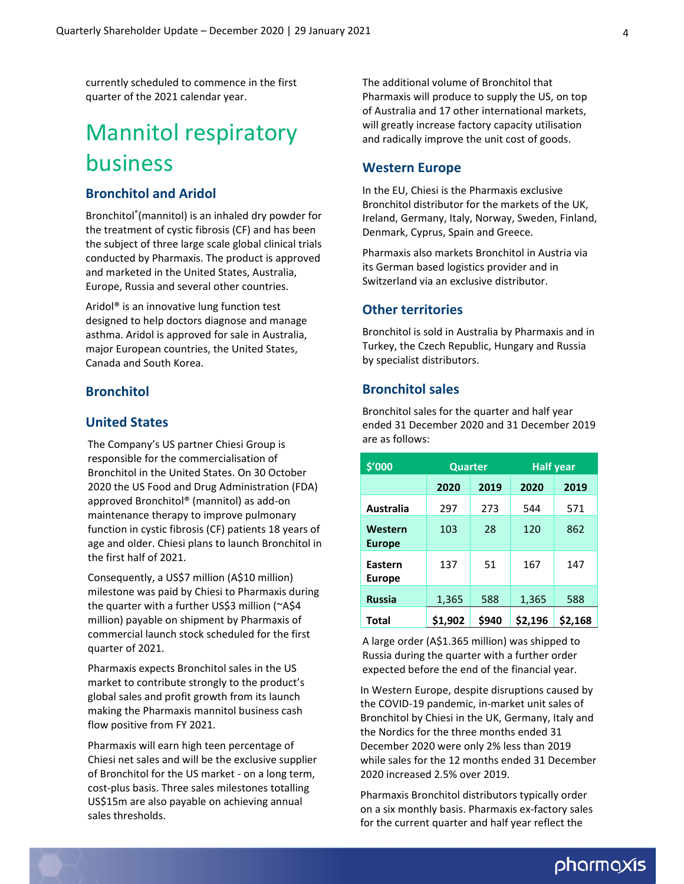currently scheduled to commence in the first quarter of the 2021 calendar year.

# Mannitol respiratory business

#### **Bronchitol and Aridol**

Bronchitol® (mannitol) is an inhaled dry powder for the treatment of cystic fibrosis (CF) and has been the subject of three large scale global clinical trials conducted by Pharmaxis. The product is approved and marketed in the United States, Australia, Europe, Russia and several other countries.

Aridol® is an innovative lung function test designed to help doctors diagnose and manage asthma. Aridol is approved for sale in Australia, major European countries, the United States, Canada and South Korea.

#### **Bronchitol**

#### **United States**

The Company's US partner Chiesi Group is responsible for the commercialisation of Bronchitol in the United States. On 30 October 2020 the US Food and Drug Administration (FDA) approved Bronchitol® (mannitol) as add‐on maintenance therapy to improve pulmonary function in cystic fibrosis (CF) patients 18 years of age and older. Chiesi plans to launch Bronchitol in the first half of 2021.

Consequently, a US\$7 million (A\$10 million) milestone was paid by Chiesi to Pharmaxis during the quarter with a further US\$3 million (~A\$4 million) payable on shipment by Pharmaxis of commercial launch stock scheduled for the first quarter of 2021.

Pharmaxis expects Bronchitol sales in the US market to contribute strongly to the product's global sales and profit growth from its launch making the Pharmaxis mannitol business cash flow positive from FY 2021.

Pharmaxis will earn high teen percentage of Chiesi net sales and will be the exclusive supplier of Bronchitol for the US market ‐ on a long term, cost‐plus basis. Three sales milestones totalling US\$15m are also payable on achieving annual sales thresholds.

The additional volume of Bronchitol that Pharmaxis will produce to supply the US, on top of Australia and 17 other international markets, will greatly increase factory capacity utilisation and radically improve the unit cost of goods.

#### **Western Europe**

In the EU, Chiesi is the Pharmaxis exclusive Bronchitol distributor for the markets of the UK, Ireland, Germany, Italy, Norway, Sweden, Finland, Denmark, Cyprus, Spain and Greece.

Pharmaxis also markets Bronchitol in Austria via its German based logistics provider and in Switzerland via an exclusive distributor.

#### **Other territories**

Bronchitol is sold in Australia by Pharmaxis and in Turkey, the Czech Republic, Hungary and Russia by specialist distributors.

#### **Bronchitol sales**

Bronchitol sales for the quarter and half year ended 31 December 2020 and 31 December 2019 are as follows:

| \$′000                   | <b>Quarter</b> |       | <b>Half year</b> |         |
|--------------------------|----------------|-------|------------------|---------|
|                          | 2020           | 2019  | 2020             | 2019    |
| <b>Australia</b>         | 297            | 273   | 544              | 571     |
| Western<br><b>Europe</b> | 103            | 28    | 120              | 862     |
| Eastern<br><b>Europe</b> | 137            | 51    | 167              | 147     |
| <b>Russia</b>            | 1,365          | 588   | 1,365            | 588     |
| <b>Total</b>             | \$1,902        | \$940 | \$2,196          | \$2,168 |

A large order (A\$1.365 million) was shipped to Russia during the quarter with a further order expected before the end of the financial year.

In Western Europe, despite disruptions caused by the COVID‐19 pandemic, in‐market unit sales of Bronchitol by Chiesi in the UK, Germany, Italy and the Nordics for the three months ended 31 December 2020 were only 2% less than 2019 while sales for the 12 months ended 31 December 2020 increased 2.5% over 2019.

Pharmaxis Bronchitol distributors typically order on a six monthly basis. Pharmaxis ex‐factory sales for the current quarter and half year reflect the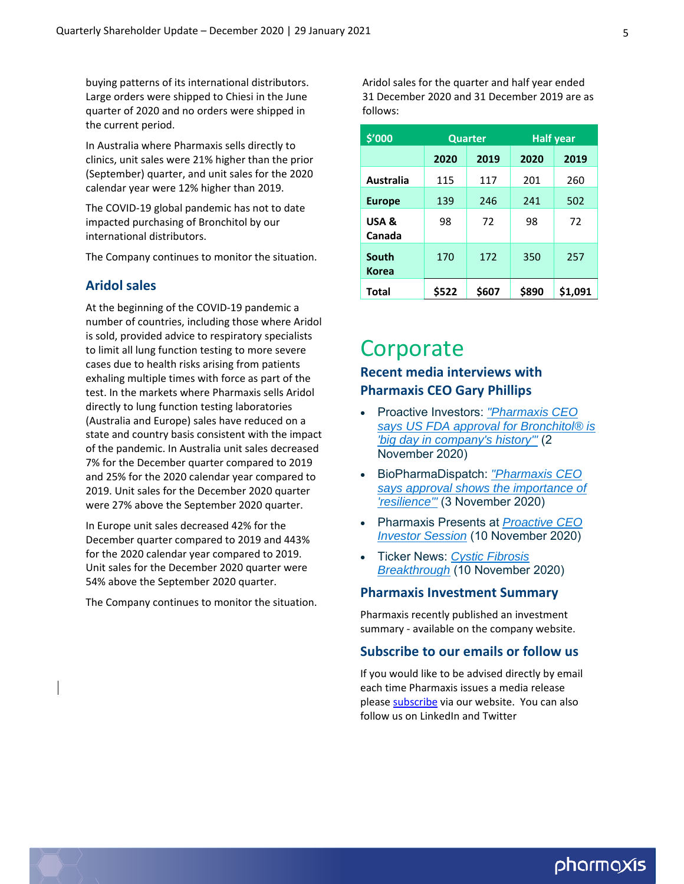buying patterns of its international distributors. Large orders were shipped to Chiesi in the June quarter of 2020 and no orders were shipped in the current period.

In Australia where Pharmaxis sells directly to clinics, unit sales were 21% higher than the prior (September) quarter, and unit sales for the 2020 calendar year were 12% higher than 2019.

The COVID‐19 global pandemic has not to date impacted purchasing of Bronchitol by our international distributors.

The Company continues to monitor the situation.

#### **Aridol sales**

At the beginning of the COVID‐19 pandemic a number of countries, including those where Aridol is sold, provided advice to respiratory specialists to limit all lung function testing to more severe cases due to health risks arising from patients exhaling multiple times with force as part of the test. In the markets where Pharmaxis sells Aridol directly to lung function testing laboratories (Australia and Europe) sales have reduced on a state and country basis consistent with the impact of the pandemic. In Australia unit sales decreased 7% for the December quarter compared to 2019 and 25% for the 2020 calendar year compared to 2019. Unit sales for the December 2020 quarter were 27% above the September 2020 quarter.

In Europe unit sales decreased 42% for the December quarter compared to 2019 and 443% for the 2020 calendar year compared to 2019. Unit sales for the December 2020 quarter were 54% above the September 2020 quarter.

The Company continues to monitor the situation.

Aridol sales for the quarter and half year ended 31 December 2020 and 31 December 2019 are as follows:

| \$'000                | <b>Quarter</b> |       | <b>Half year</b> |         |
|-----------------------|----------------|-------|------------------|---------|
|                       | 2020           | 2019  | 2020             | 2019    |
| Australia             | 115            | 117   | 201              | 260     |
| <b>Europe</b>         | 139            | 246   | 241              | 502     |
| USA &<br>Canada       | 98             | 72    | 98               | 72      |
| South<br><b>Korea</b> | 170            | 172   | 350              | 257     |
| <b>Total</b>          | \$522          | \$607 | \$890            | \$1,091 |

### **Corporate**

### **Recent media interviews with Pharmaxis CEO Gary Phillips**

- Proactive Investors: *"Pharmaxis CEO [says US FDA approval for Bronchitol® is](https://www.proactiveinvestors.com.au/companies/news/932880/pharmaxis-ceo-says-us-fda-approval-for-bronchitol-is--big-day-in-company-s-history--932880.html) 'big day in company's history'"* (2 November 2020)
- BioPharmaDispatch: *"Pharmaxis CEO [says approval shows the importance of](https://pharmadispatch.com/news/pharmaxis-ceo-says-approval-shows-the-importance-of-resilience) 'resilience'"* (3 November 2020)
- [Pharmaxis Presents at](https://www.youtube.com/watch?v=NAmX5wpUv0k&ab_channel=Proactive) *Proactive CEO Investor Session* (10 November 2020)
- Ticker News: *[Cystic Fibrosis](https://vimeo.com/477436437) Breakthrough* (10 November 2020)

#### **Pharmaxis Investment Summary**

Pharmaxis recently published an investment summary - available on the company [website.](http://www.pharmaxis.com.au/assets/Documents/pdf/02020/Other/2020-11-10-PXS-Investment-Summary.pdf)

#### **Subscribe to our emails or follow us**

If you would like to be advised directly by email each time Pharmaxis issues a media release please [subscribe](http://www.pharmaxis.com.au/investor-centre/subscribe/) via our website. You can also follow us on LinkedIn and Twitter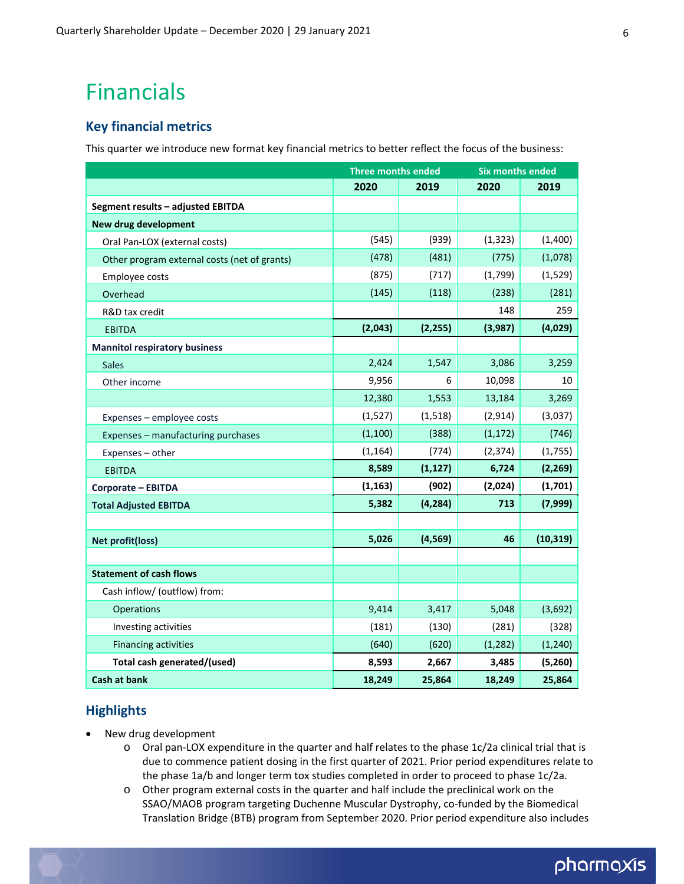## Financials

#### **Key financial metrics**

This quarter we introduce new format key financial metrics to better reflect the focus of the business:

|                                              | <b>Three months ended</b> |          | <b>Six months ended</b> |           |
|----------------------------------------------|---------------------------|----------|-------------------------|-----------|
|                                              | 2020                      | 2019     | 2020                    | 2019      |
| Segment results - adjusted EBITDA            |                           |          |                         |           |
| New drug development                         |                           |          |                         |           |
| Oral Pan-LOX (external costs)                | (545)                     | (939)    | (1, 323)                | (1,400)   |
| Other program external costs (net of grants) | (478)                     | (481)    | (775)                   | (1,078)   |
| Employee costs                               | (875)                     | (717)    | (1,799)                 | (1, 529)  |
| Overhead                                     | (145)                     | (118)    | (238)                   | (281)     |
| R&D tax credit                               |                           |          | 148                     | 259       |
| <b>EBITDA</b>                                | (2,043)                   | (2, 255) | (3,987)                 | (4,029)   |
| <b>Mannitol respiratory business</b>         |                           |          |                         |           |
| <b>Sales</b>                                 | 2,424                     | 1,547    | 3,086                   | 3,259     |
| Other income                                 | 9,956                     | 6        | 10,098                  | 10        |
|                                              | 12,380                    | 1,553    | 13,184                  | 3,269     |
| Expenses - employee costs                    | (1,527)                   | (1, 518) | (2,914)                 | (3,037)   |
| Expenses - manufacturing purchases           | (1, 100)                  | (388)    | (1, 172)                | (746)     |
| Expenses - other                             | (1, 164)                  | (774)    | (2, 374)                | (1,755)   |
| <b>EBITDA</b>                                | 8,589                     | (1, 127) | 6,724                   | (2, 269)  |
| Corporate - EBITDA                           | (1, 163)                  | (902)    | (2,024)                 | (1,701)   |
| <b>Total Adjusted EBITDA</b>                 | 5,382                     | (4, 284) | 713                     | (7,999)   |
|                                              |                           |          |                         |           |
| <b>Net profit(loss)</b>                      | 5,026                     | (4, 569) | 46                      | (10, 319) |
|                                              |                           |          |                         |           |
| <b>Statement of cash flows</b>               |                           |          |                         |           |
| Cash inflow/ (outflow) from:                 |                           |          |                         |           |
| Operations                                   | 9,414                     | 3,417    | 5,048                   | (3,692)   |
| Investing activities                         | (181)                     | (130)    | (281)                   | (328)     |
| <b>Financing activities</b>                  | (640)                     | (620)    | (1, 282)                | (1, 240)  |
| Total cash generated/(used)                  | 8,593                     | 2,667    | 3,485                   | (5,260)   |
| <b>Cash at bank</b>                          | 18,249                    | 25,864   | 18,249                  | 25,864    |

#### **Highlights**

- New drug development
	- o Oral pan‐LOX expenditure in the quarter and half relates to the phase 1c/2a clinical trial that is due to commence patient dosing in the first quarter of 2021. Prior period expenditures relate to the phase 1a/b and longer term tox studies completed in order to proceed to phase 1c/2a.
	- o Other program external costs in the quarter and half include the preclinical work on the SSAO/MAOB program targeting Duchenne Muscular Dystrophy, co‐funded by the Biomedical Translation Bridge (BTB) program from September 2020. Prior period expenditure also includes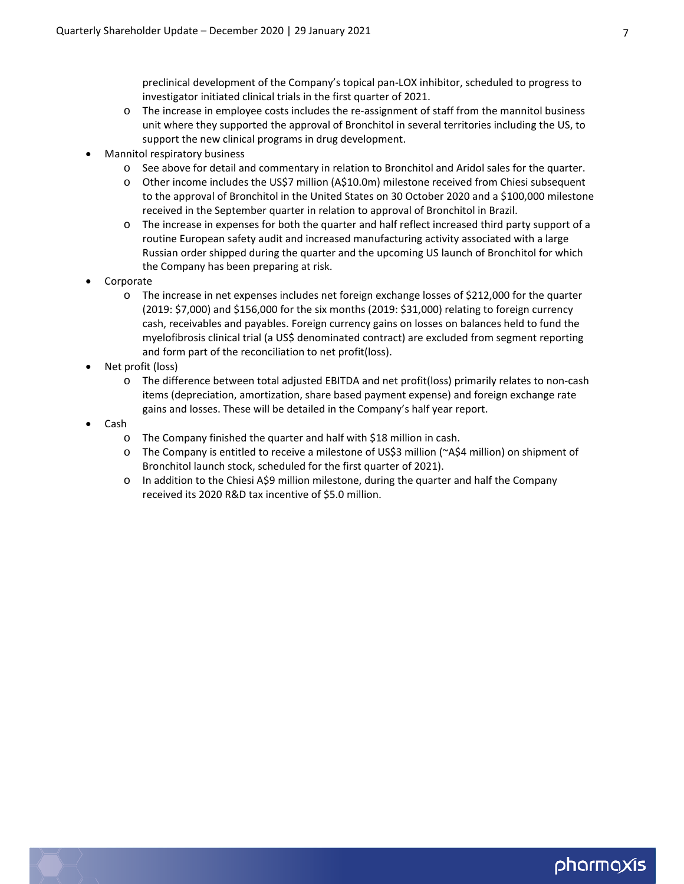preclinical development of the Company's topical pan‐LOX inhibitor, scheduled to progress to investigator initiated clinical trials in the first quarter of 2021.

- o The increase in employee costs includes the re‐assignment of staff from the mannitol business unit where they supported the approval of Bronchitol in several territories including the US, to support the new clinical programs in drug development.
- Mannitol respiratory business
	- o See above for detail and commentary in relation to Bronchitol and Aridol sales for the quarter.
	- o Other income includes the US\$7 million (A\$10.0m) milestone received from Chiesi subsequent to the approval of Bronchitol in the United States on 30 October 2020 and a \$100,000 milestone received in the September quarter in relation to approval of Bronchitol in Brazil.
	- o The increase in expenses for both the quarter and half reflect increased third party support of a routine European safety audit and increased manufacturing activity associated with a large Russian order shipped during the quarter and the upcoming US launch of Bronchitol for which the Company has been preparing at risk.
- Corporate
	- o The increase in net expenses includes net foreign exchange losses of \$212,000 for the quarter (2019: \$7,000) and \$156,000 for the six months (2019: \$31,000) relating to foreign currency cash, receivables and payables. Foreign currency gains on losses on balances held to fund the myelofibrosis clinical trial (a US\$ denominated contract) are excluded from segment reporting and form part of the reconciliation to net profit(loss).
- Net profit (loss)
	- o The difference between total adjusted EBITDA and net profit(loss) primarily relates to non‐cash items (depreciation, amortization, share based payment expense) and foreign exchange rate gains and losses. These will be detailed in the Company's half year report.
- Cash
	- o The Company finished the quarter and half with \$18 million in cash.
	- o The Company is entitled to receive a milestone of US\$3 million (~A\$4 million) on shipment of Bronchitol launch stock, scheduled for the first quarter of 2021).
	- o In addition to the Chiesi A\$9 million milestone, during the quarter and half the Company received its 2020 R&D tax incentive of \$5.0 million.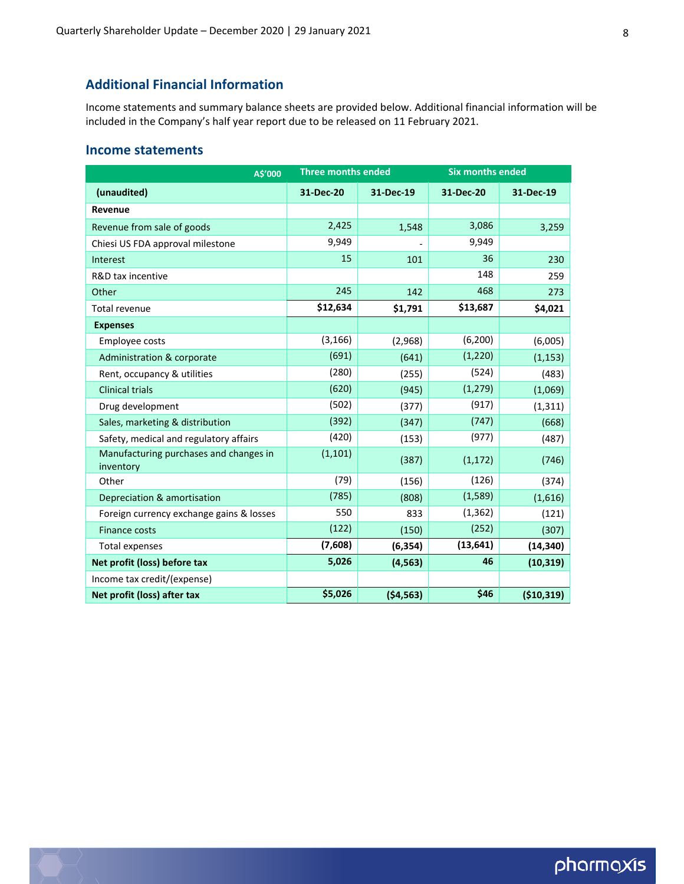#### **Additional Financial Information**

Income statements and summary balance sheets are provided below. Additional financial information will be included in the Company's half year report due to be released on 11 February 2021.

#### **Income statements**

| A\$'000                                             | <b>Three months ended</b> |           | <b>Six months ended</b> |            |
|-----------------------------------------------------|---------------------------|-----------|-------------------------|------------|
| (unaudited)                                         | 31-Dec-20                 | 31-Dec-19 | 31-Dec-20               | 31-Dec-19  |
| Revenue                                             |                           |           |                         |            |
| Revenue from sale of goods                          | 2,425                     | 1,548     | 3,086                   | 3,259      |
| Chiesi US FDA approval milestone                    | 9,949                     |           | 9,949                   |            |
| Interest                                            | 15                        | 101       | 36                      | 230        |
| R&D tax incentive                                   |                           |           | 148                     | 259        |
| Other                                               | 245                       | 142       | 468                     | 273        |
| <b>Total revenue</b>                                | \$12,634                  | \$1,791   | \$13,687                | \$4,021    |
| <b>Expenses</b>                                     |                           |           |                         |            |
| Employee costs                                      | (3, 166)                  | (2,968)   | (6, 200)                | (6,005)    |
| Administration & corporate                          | (691)                     | (641)     | (1, 220)                | (1, 153)   |
| Rent, occupancy & utilities                         | (280)                     | (255)     | (524)                   | (483)      |
| <b>Clinical trials</b>                              | (620)                     | (945)     | (1, 279)                | (1,069)    |
| Drug development                                    | (502)                     | (377)     | (917)                   | (1, 311)   |
| Sales, marketing & distribution                     | (392)                     | (347)     | (747)                   | (668)      |
| Safety, medical and regulatory affairs              | (420)                     | (153)     | (977)                   | (487)      |
| Manufacturing purchases and changes in<br>inventory | (1, 101)                  | (387)     | (1, 172)                | (746)      |
| Other                                               | (79)                      | (156)     | (126)                   | (374)      |
| Depreciation & amortisation                         | (785)                     | (808)     | (1,589)                 | (1,616)    |
| Foreign currency exchange gains & losses            | 550                       | 833       | (1, 362)                | (121)      |
| Finance costs                                       | (122)                     | (150)     | (252)                   | (307)      |
| <b>Total expenses</b>                               | (7,608)                   | (6, 354)  | (13, 641)               | (14, 340)  |
| Net profit (loss) before tax                        | 5,026                     | (4, 563)  | 46                      | (10, 319)  |
| Income tax credit/(expense)                         |                           |           |                         |            |
| Net profit (loss) after tax                         | \$5,026                   | (54, 563) | \$46                    | (\$10,319) |